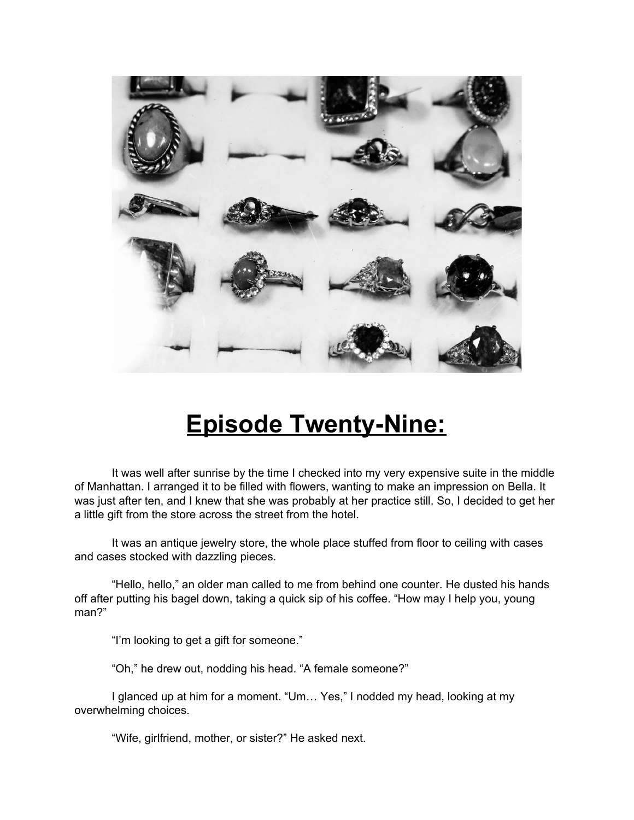

## **Episode Twenty-Nine:**

It was well after sunrise by the time I checked into my very expensive suite in the middle of Manhattan. I arranged it to be filled with flowers, wanting to make an impression on Bella. It was just after ten, and I knew that she was probably at her practice still. So, I decided to get her a little gift from the store across the street from the hotel.

It was an antique jewelry store, the whole place stuffed from floor to ceiling with cases and cases stocked with dazzling pieces.

"Hello, hello," an older man called to me from behind one counter. He dusted his hands off after putting his bagel down, taking a quick sip of his coffee. "How may I help you, young man?"

"I'm looking to get a gift for someone."

"Oh," he drew out, nodding his head. "A female someone?"

I glanced up at him for a moment. "Um… Yes," I nodded my head, looking at my overwhelming choices.

"Wife, girlfriend, mother, or sister?" He asked next.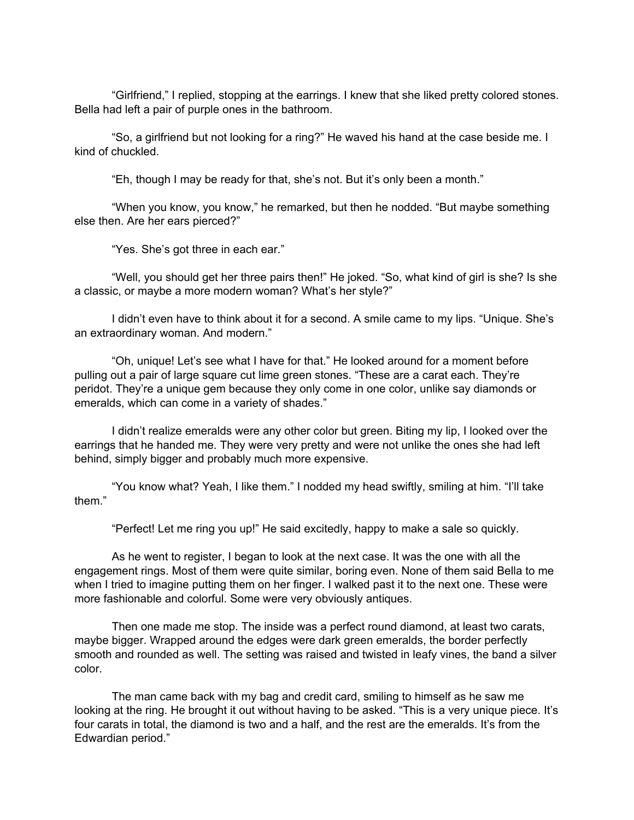"Girlfriend," I replied, stopping at the earrings. I knew that she liked pretty colored stones. Bella had left a pair of purple ones in the bathroom.

"So, a girlfriend but not looking for a ring?" He waved his hand at the case beside me. I kind of chuckled.

"Eh, though I may be ready for that, she's not. But it's only been a month."

"When you know, you know," he remarked, but then he nodded. "But maybe something else then. Are her ears pierced?"

"Yes. She's got three in each ear."

"Well, you should get her three pairs then!" He joked. "So, what kind of girl is she? Is she a classic, or maybe a more modern woman? What's her style?"

I didn't even have to think about it for a second. A smile came to my lips. "Unique. She's an extraordinary woman. And modern."

"Oh, unique! Let's see what I have for that." He looked around for a moment before pulling out a pair of large square cut lime green stones. "These are a carat each. They're peridot. They're a unique gem because they only come in one color, unlike say diamonds or emeralds, which can come in a variety of shades."

I didn't realize emeralds were any other color but green. Biting my lip, I looked over the earrings that he handed me. They were very pretty and were not unlike the ones she had left behind, simply bigger and probably much more expensive.

"You know what? Yeah, I like them." I nodded my head swiftly, smiling at him. "I'll take them."

"Perfect! Let me ring you up!" He said excitedly, happy to make a sale so quickly.

As he went to register, I began to look at the next case. It was the one with all the engagement rings. Most of them were quite similar, boring even. None of them said Bella to me when I tried to imagine putting them on her finger. I walked past it to the next one. These were more fashionable and colorful. Some were very obviously antiques.

Then one made me stop. The inside was a perfect round diamond, at least two carats, maybe bigger. Wrapped around the edges were dark green emeralds, the border perfectly smooth and rounded as well. The setting was raised and twisted in leafy vines, the band a silver color.

The man came back with my bag and credit card, smiling to himself as he saw me looking at the ring. He brought it out without having to be asked. "This is a very unique piece. It's four carats in total, the diamond is two and a half, and the rest are the emeralds. It's from the Edwardian period."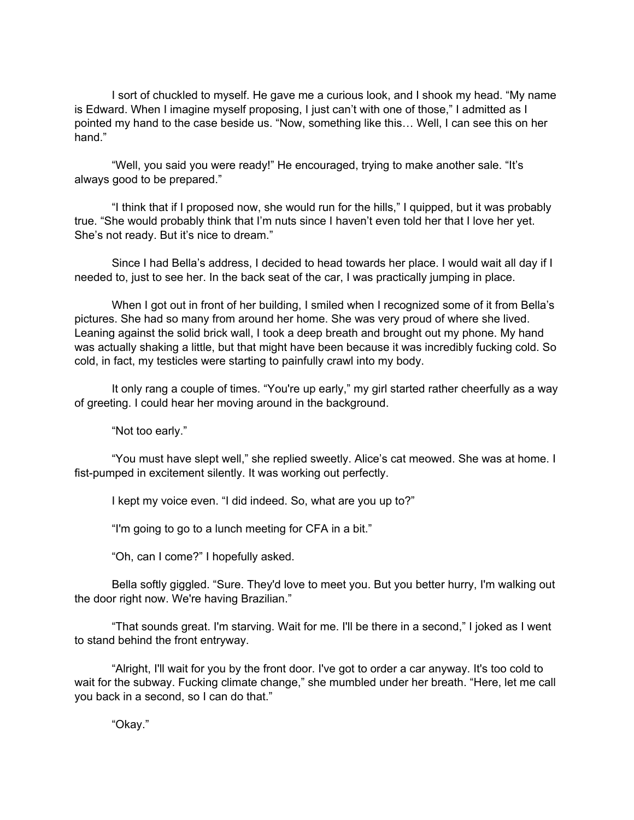I sort of chuckled to myself. He gave me a curious look, and I shook my head. "My name is Edward. When I imagine myself proposing, I just can't with one of those," I admitted as I pointed my hand to the case beside us. "Now, something like this… Well, I can see this on her hand."

"Well, you said you were ready!" He encouraged, trying to make another sale. "It's always good to be prepared."

"I think that if I proposed now, she would run for the hills," I quipped, but it was probably true. "She would probably think that I'm nuts since I haven't even told her that I love her yet. She's not ready. But it's nice to dream."

Since I had Bella's address, I decided to head towards her place. I would wait all day if I needed to, just to see her. In the back seat of the car, I was practically jumping in place.

When I got out in front of her building, I smiled when I recognized some of it from Bella's pictures. She had so many from around her home. She was very proud of where she lived. Leaning against the solid brick wall, I took a deep breath and brought out my phone. My hand was actually shaking a little, but that might have been because it was incredibly fucking cold. So cold, in fact, my testicles were starting to painfully crawl into my body.

It only rang a couple of times. "You're up early," my girl started rather cheerfully as a way of greeting. I could hear her moving around in the background.

"Not too early."

"You must have slept well," she replied sweetly. Alice's cat meowed. She was at home. I fist-pumped in excitement silently. It was working out perfectly.

I kept my voice even. "I did indeed. So, what are you up to?"

"I'm going to go to a lunch meeting for CFA in a bit."

"Oh, can I come?" I hopefully asked.

Bella softly giggled. "Sure. They'd love to meet you. But you better hurry, I'm walking out the door right now. We're having Brazilian."

"That sounds great. I'm starving. Wait for me. I'll be there in a second," I joked as I went to stand behind the front entryway.

"Alright, I'll wait for you by the front door. I've got to order a car anyway. It's too cold to wait for the subway. Fucking climate change," she mumbled under her breath. "Here, let me call you back in a second, so I can do that."

"Okay."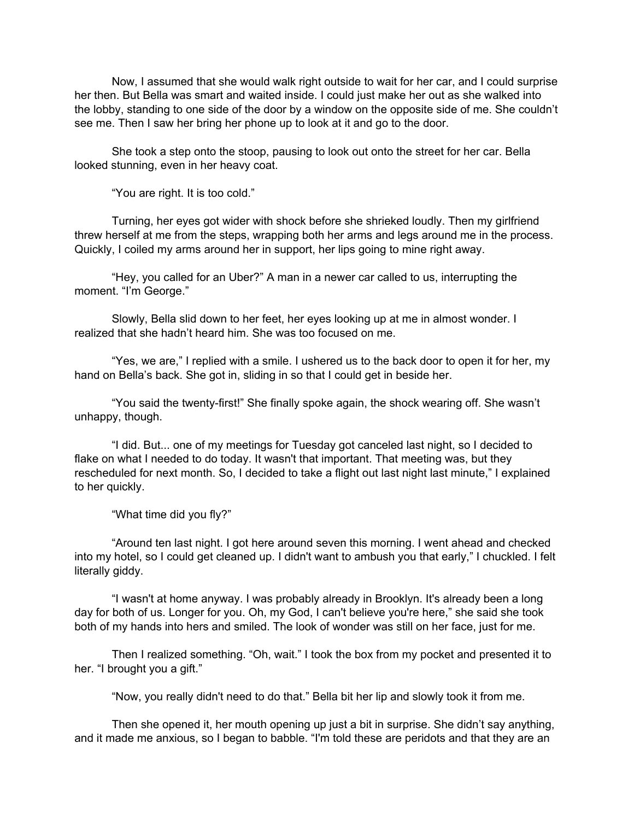Now, I assumed that she would walk right outside to wait for her car, and I could surprise her then. But Bella was smart and waited inside. I could just make her out as she walked into the lobby, standing to one side of the door by a window on the opposite side of me. She couldn't see me. Then I saw her bring her phone up to look at it and go to the door.

She took a step onto the stoop, pausing to look out onto the street for her car. Bella looked stunning, even in her heavy coat.

"You are right. It is too cold."

Turning, her eyes got wider with shock before she shrieked loudly. Then my girlfriend threw herself at me from the steps, wrapping both her arms and legs around me in the process. Quickly, I coiled my arms around her in support, her lips going to mine right away.

"Hey, you called for an Uber?" A man in a newer car called to us, interrupting the moment. "I'm George."

Slowly, Bella slid down to her feet, her eyes looking up at me in almost wonder. I realized that she hadn't heard him. She was too focused on me.

"Yes, we are," I replied with a smile. I ushered us to the back door to open it for her, my hand on Bella's back. She got in, sliding in so that I could get in beside her.

"You said the twenty-first!" She finally spoke again, the shock wearing off. She wasn't unhappy, though.

"I did. But... one of my meetings for Tuesday got canceled last night, so I decided to flake on what I needed to do today. It wasn't that important. That meeting was, but they rescheduled for next month. So, I decided to take a flight out last night last minute," I explained to her quickly.

"What time did you fly?"

"Around ten last night. I got here around seven this morning. I went ahead and checked into my hotel, so I could get cleaned up. I didn't want to ambush you that early," I chuckled. I felt literally giddy.

"I wasn't at home anyway. I was probably already in Brooklyn. It's already been a long day for both of us. Longer for you. Oh, my God, I can't believe you're here," she said she took both of my hands into hers and smiled. The look of wonder was still on her face, just for me.

Then I realized something. "Oh, wait." I took the box from my pocket and presented it to her. "I brought you a gift."

"Now, you really didn't need to do that." Bella bit her lip and slowly took it from me.

Then she opened it, her mouth opening up just a bit in surprise. She didn't say anything, and it made me anxious, so I began to babble. "I'm told these are peridots and that they are an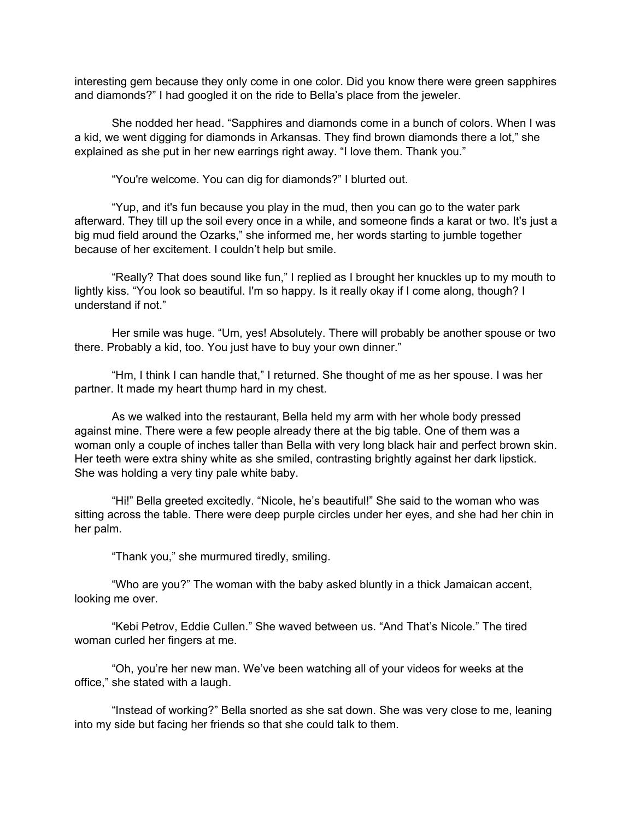interesting gem because they only come in one color. Did you know there were green sapphires and diamonds?" I had googled it on the ride to Bella's place from the jeweler.

She nodded her head. "Sapphires and diamonds come in a bunch of colors. When I was a kid, we went digging for diamonds in Arkansas. They find brown diamonds there a lot," she explained as she put in her new earrings right away. "I love them. Thank you."

"You're welcome. You can dig for diamonds?" I blurted out.

"Yup, and it's fun because you play in the mud, then you can go to the water park afterward. They till up the soil every once in a while, and someone finds a karat or two. It's just a big mud field around the Ozarks," she informed me, her words starting to jumble together because of her excitement. I couldn't help but smile.

"Really? That does sound like fun," I replied as I brought her knuckles up to my mouth to lightly kiss. "You look so beautiful. I'm so happy. Is it really okay if I come along, though? I understand if not."

Her smile was huge. "Um, yes! Absolutely. There will probably be another spouse or two there. Probably a kid, too. You just have to buy your own dinner."

"Hm, I think I can handle that," I returned. She thought of me as her spouse. I was her partner. It made my heart thump hard in my chest.

As we walked into the restaurant, Bella held my arm with her whole body pressed against mine. There were a few people already there at the big table. One of them was a woman only a couple of inches taller than Bella with very long black hair and perfect brown skin. Her teeth were extra shiny white as she smiled, contrasting brightly against her dark lipstick. She was holding a very tiny pale white baby.

"Hi!" Bella greeted excitedly. "Nicole, he's beautiful!" She said to the woman who was sitting across the table. There were deep purple circles under her eyes, and she had her chin in her palm.

"Thank you," she murmured tiredly, smiling.

"Who are you?" The woman with the baby asked bluntly in a thick Jamaican accent, looking me over.

"Kebi Petrov, Eddie Cullen." She waved between us. "And That's Nicole." The tired woman curled her fingers at me.

"Oh, you're her new man. We've been watching all of your videos for weeks at the office," she stated with a laugh.

"Instead of working?" Bella snorted as she sat down. She was very close to me, leaning into my side but facing her friends so that she could talk to them.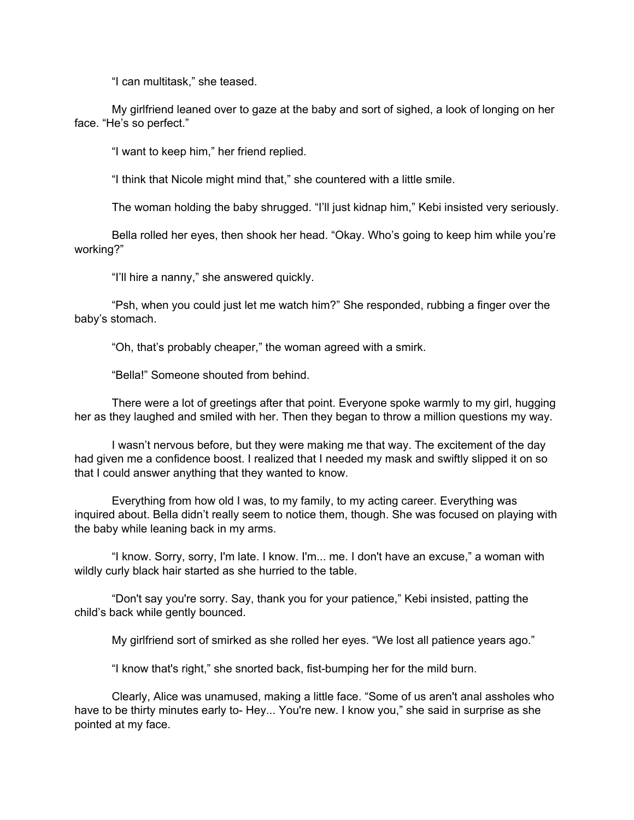"I can multitask," she teased.

My girlfriend leaned over to gaze at the baby and sort of sighed, a look of longing on her face. "He's so perfect."

"I want to keep him," her friend replied.

"I think that Nicole might mind that," she countered with a little smile.

The woman holding the baby shrugged. "I'll just kidnap him," Kebi insisted very seriously.

Bella rolled her eyes, then shook her head. "Okay. Who's going to keep him while you're working?"

"I'll hire a nanny," she answered quickly.

"Psh, when you could just let me watch him?" She responded, rubbing a finger over the baby's stomach.

"Oh, that's probably cheaper," the woman agreed with a smirk.

"Bella!" Someone shouted from behind.

There were a lot of greetings after that point. Everyone spoke warmly to my girl, hugging her as they laughed and smiled with her. Then they began to throw a million questions my way.

I wasn't nervous before, but they were making me that way. The excitement of the day had given me a confidence boost. I realized that I needed my mask and swiftly slipped it on so that I could answer anything that they wanted to know.

Everything from how old I was, to my family, to my acting career. Everything was inquired about. Bella didn't really seem to notice them, though. She was focused on playing with the baby while leaning back in my arms.

"I know. Sorry, sorry, I'm late. I know. I'm... me. I don't have an excuse," a woman with wildly curly black hair started as she hurried to the table.

"Don't say you're sorry. Say, thank you for your patience," Kebi insisted, patting the child's back while gently bounced.

My girlfriend sort of smirked as she rolled her eyes. "We lost all patience years ago."

"I know that's right," she snorted back, fist-bumping her for the mild burn.

Clearly, Alice was unamused, making a little face. "Some of us aren't anal assholes who have to be thirty minutes early to- Hey... You're new. I know you," she said in surprise as she pointed at my face.